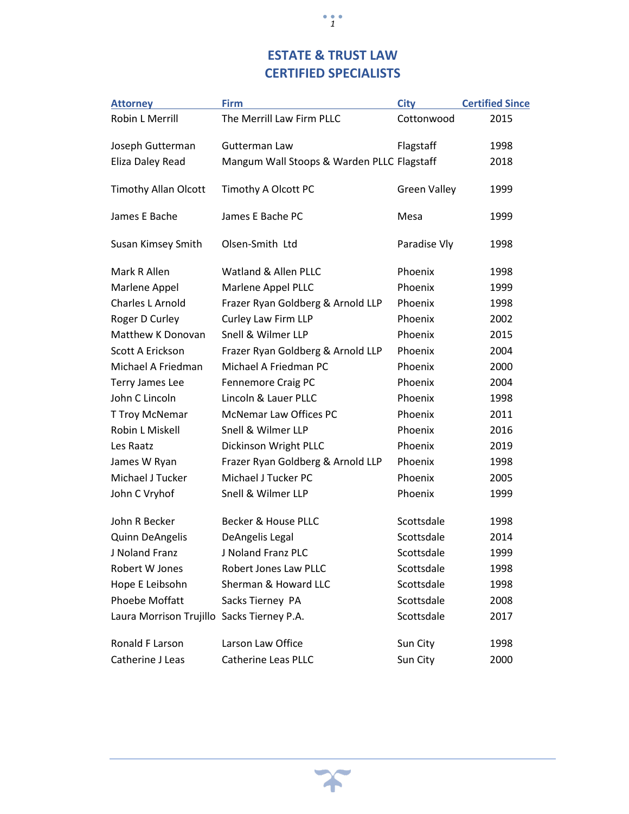## **ESTATE & TRUST LAW CERTIFIED SPECIALISTS**

*1*

| <b>Attorney</b>                            | <b>Firm</b>                                | <b>City</b>         | <b>Certified Since</b> |
|--------------------------------------------|--------------------------------------------|---------------------|------------------------|
| Robin L Merrill                            | The Merrill Law Firm PLLC                  | Cottonwood          | 2015                   |
| Joseph Gutterman                           | Gutterman Law                              | Flagstaff           | 1998                   |
| Eliza Daley Read                           | Mangum Wall Stoops & Warden PLLC Flagstaff |                     | 2018                   |
| <b>Timothy Allan Olcott</b>                | Timothy A Olcott PC                        | <b>Green Valley</b> | 1999                   |
| James E Bache                              | James E Bache PC                           | Mesa                | 1999                   |
| Susan Kimsey Smith                         | Olsen-Smith Ltd                            | Paradise Vly        | 1998                   |
| Mark R Allen                               | Watland & Allen PLLC                       | Phoenix             | 1998                   |
| Marlene Appel                              | Marlene Appel PLLC                         | Phoenix             | 1999                   |
| Charles L Arnold                           | Frazer Ryan Goldberg & Arnold LLP          | Phoenix             | 1998                   |
| Roger D Curley                             | Curley Law Firm LLP                        | Phoenix             | 2002                   |
| Matthew K Donovan                          | Snell & Wilmer LLP                         | Phoenix             | 2015                   |
| Scott A Erickson                           | Frazer Ryan Goldberg & Arnold LLP          | Phoenix             | 2004                   |
| Michael A Friedman                         | Michael A Friedman PC                      | Phoenix             | 2000                   |
| Terry James Lee                            | Fennemore Craig PC                         | Phoenix             | 2004                   |
| John C Lincoln                             | Lincoln & Lauer PLLC                       | Phoenix             | 1998                   |
| T Troy McNemar                             | McNemar Law Offices PC                     | Phoenix             | 2011                   |
| Robin L Miskell                            | Snell & Wilmer LLP                         | Phoenix             | 2016                   |
| Les Raatz                                  | Dickinson Wright PLLC                      | Phoenix             | 2019                   |
| James W Ryan                               | Frazer Ryan Goldberg & Arnold LLP          | Phoenix             | 1998                   |
| Michael J Tucker                           | Michael J Tucker PC                        | Phoenix             | 2005                   |
| John C Vryhof                              | Snell & Wilmer LLP                         | Phoenix             | 1999                   |
| John R Becker                              | Becker & House PLLC                        | Scottsdale          | 1998                   |
| Quinn DeAngelis                            | DeAngelis Legal                            | Scottsdale          | 2014                   |
| J Noland Franz                             | J Noland Franz PLC                         | Scottsdale          | 1999                   |
| Robert W Jones                             | Robert Jones Law PLLC                      | Scottsdale          | 1998                   |
| Hope E Leibsohn                            | Sherman & Howard LLC                       | Scottsdale          | 1998                   |
| <b>Phoebe Moffatt</b>                      | Sacks Tierney PA                           | Scottsdale          | 2008                   |
| Laura Morrison Trujillo Sacks Tierney P.A. |                                            | Scottsdale          | 2017                   |
| Ronald F Larson                            | Larson Law Office                          | Sun City            | 1998                   |
| Catherine J Leas                           | Catherine Leas PLLC                        | Sun City            | 2000                   |